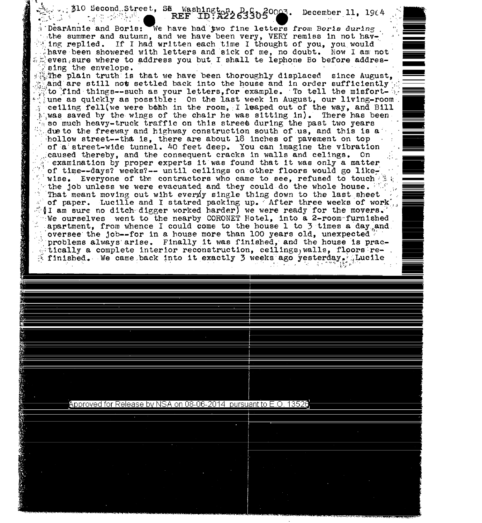## 510 Second Street, SE Washington, D. Cooks. December 11, 1964

DearAnnie and Boris: We have had two fine letters from Boris during the summer and autumn, and we have been very, VERY remiss in not having replied. If I had written each time I thought of you, you would have been showered with letters and sick of me, no doubt. Now I am not  $\mathbb{Z}$  even sure where to address you but I shall te lephone Bo before addressing the envelope.

The plain truth is that we have been thoroughly displaced since August. and are still not settled back into the house and in order sufficiently to find things--such as your letters, for example. To tell the misfortune as quickly as possible: On the last week in August, our living-room. ceiling fell(we were both in the room, I leaped out of the way, and Bill was saved by the wings of the chair he was sitting in). There has been so much heavy-truck traffic on this street during the past two years due to the freeway and highway construction south of us, and this is a hollow street--that is, there are about 18 inches of pavement on top of a street-wide tunnel. 40 feet deep. You can imagine the vibration caused thereby, and the consequent cracks in walls and celings. On examination by proper experts it was found that it was only a matter of time--days? weeks?-- until cellings on other floors would go likewise. Everyone of the contractors who came to see, refused to touch the the job unless we were evacuated and they could do the whole house. That meant moving out wiht everyly single thing down to the last sheet of paper. Lucille and I statred packing up. After three weeks of work,  $\{I$  am sure no ditch digger worked harder) we were ready for the movers. We ourselves went to the nearby CORONET Hotel, into a 2-room furnished apartment, from whence I could come to the house 1 to 3 times a day and oversee the job--for in a house more than 100 years old, unexpected  $\mathbb T$ problems always arise. Finally it was finished, and the house is prac- $\sim$  tically a complete interior reconstruction, ceilings, walls, floors re- $\le$  finished. We came back into it exactly 3 weeks ago yesterday. Lucile

## Approved for Release by NSA on 08-06-2014 pursuant to E.O. 13526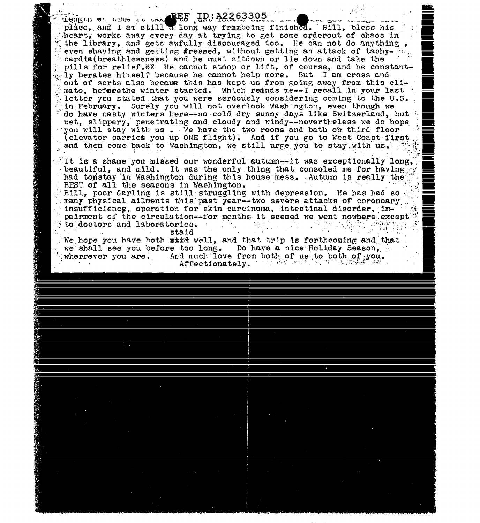Lengue or trans to the BEE ID: A2263305 سان سند place, and I am still a long way frombeing finished. Bill, bless his heart, works away every day at trying to get some orderout of chaos in the library, and gets awfully discouraged too. He can not do anything, even shaving and getting dressed, without getting an attack of tachycardia(breathlessness) and he must sitdown or lie down and take the pills for relief. MX He cannot stoop or lift, of course, and he constantly berates himself because he cannot help more. But I am cross and out of sorts also because this has kept us from going away from this climate, before the winter started. Which remands me--I recall in your last letter you stated that you were seroously considering coming to the U.S. in February. Surely you will not overlook Wash naton. even though we do have nasty winters here--no cold dry sunny days like Switzerland, but wet, slippery, penetrating and cloudy and windy--nevertheless we do hope you will stay with us. We have the two rooms and bath ob third floor (elevator carries you up ONE flight). And if you go to West Coast first and then come back to Washington, we still urge you to stay with us. It is a shame you missed our wonderful autumn--it was exceptionally long, beautiful, and mild. It was the only thing that consoled me for having had tonstay in Washington during this house mess. Autumn is really the BEST of all the seasons in Washington. Bill, poor darling is still struggling with depression. He has had so many physical allments this past year--two severe attacks of coronoary insufficience, operation for skin carcinoma, intestinal disorder, impairment of the circulation--for months it seemed we went nowhere except to doctors and laboratories.  $\sim 10^{-10}$ ာ အမ်ားရှိ ကိုးကြီး staid We hope you have both sixt well, and that trip is forthcoming and that we shall see you before too long. Do have a nice Holiday Season, And much love from both of us to both of you. wherrever you are. فالواقعين الطبطاء الرا Affectionately.